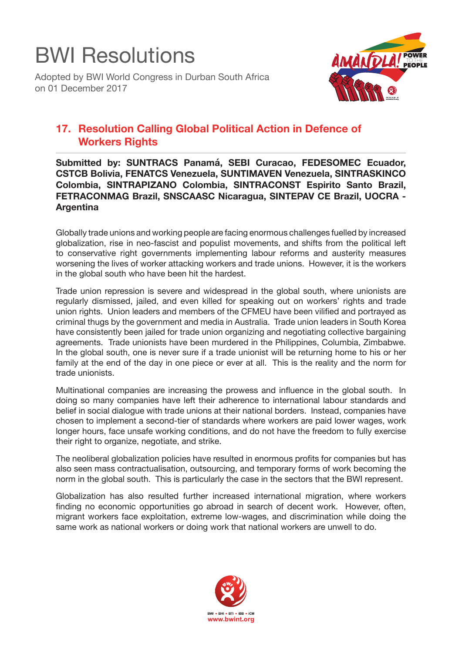## BWI Resolutions

Adopted by BWI World Congress in Durban South Africa on 01 December 2017



## **17. Resolution Calling Global Political Action in Defence of Workers Rights**

**Submitted by: SUNTRACS Panamá, SEBI Curacao, FEDESOMEC Ecuador, CSTCB Bolivia, FENATCS Venezuela, SUNTIMAVEN Venezuela, SINTRASKINCO Colombia, SINTRAPIZANO Colombia, SINTRACONST Espirito Santo Brazil, FETRACONMAG Brazil, SNSCAASC Nicaragua, SINTEPAV CE Brazil, UOCRA - Argentina**

Globally trade unions and working people are facing enormous challenges fuelled by increased globalization, rise in neo-fascist and populist movements, and shifts from the political left to conservative right governments implementing labour reforms and austerity measures worsening the lives of worker attacking workers and trade unions. However, it is the workers in the global south who have been hit the hardest.

Trade union repression is severe and widespread in the global south, where unionists are regularly dismissed, jailed, and even killed for speaking out on workers' rights and trade union rights. Union leaders and members of the CFMEU have been vilified and portrayed as criminal thugs by the government and media in Australia. Trade union leaders in South Korea have consistently been jailed for trade union organizing and negotiating collective bargaining agreements. Trade unionists have been murdered in the Philippines, Columbia, Zimbabwe. In the global south, one is never sure if a trade unionist will be returning home to his or her family at the end of the day in one piece or ever at all. This is the reality and the norm for trade unionists.

Multinational companies are increasing the prowess and influence in the global south. In doing so many companies have left their adherence to international labour standards and belief in social dialogue with trade unions at their national borders. Instead, companies have chosen to implement a second-tier of standards where workers are paid lower wages, work longer hours, face unsafe working conditions, and do not have the freedom to fully exercise their right to organize, negotiate, and strike.

The neoliberal globalization policies have resulted in enormous profits for companies but has also seen mass contractualisation, outsourcing, and temporary forms of work becoming the norm in the global south. This is particularly the case in the sectors that the BWI represent.

Globalization has also resulted further increased international migration, where workers finding no economic opportunities go abroad in search of decent work. However, often, migrant workers face exploitation, extreme low-wages, and discrimination while doing the same work as national workers or doing work that national workers are unwell to do.